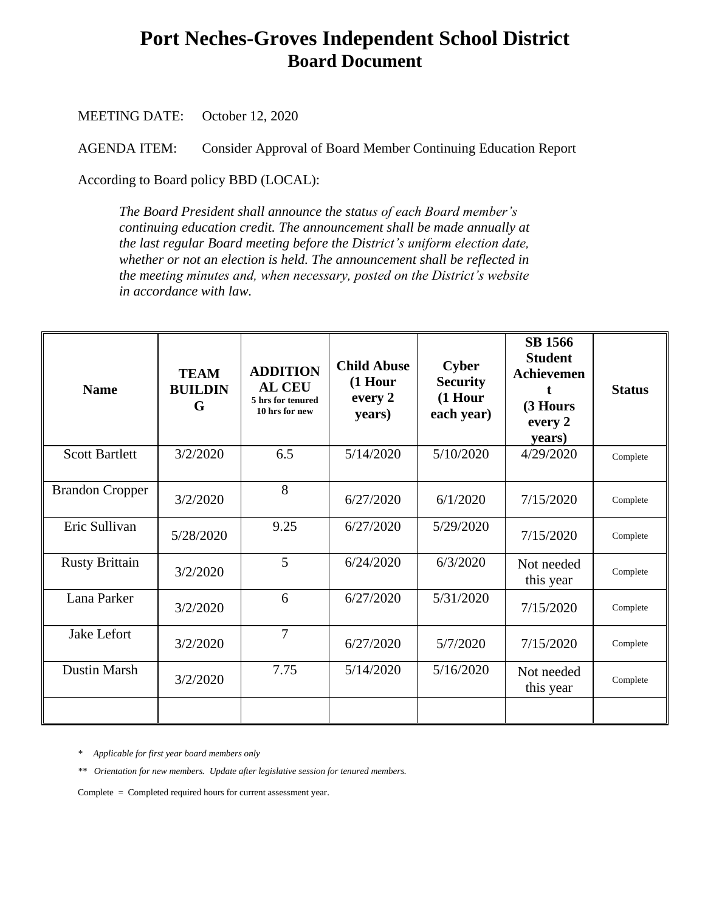## **Port Neches-Groves Independent School District Board Document**

MEETING DATE: October 12, 2020

AGENDA ITEM: Consider Approval of Board Member Continuing Education Report

According to Board policy BBD (LOCAL):

*The Board President shall announce the status of each Board member's continuing education credit. The announcement shall be made annually at the last regular Board meeting before the District's uniform election date, whether or not an election is held. The announcement shall be reflected in the meeting minutes and, when necessary, posted on the District's website in accordance with law.*

| <b>Name</b>            | <b>TEAM</b><br><b>BUILDIN</b><br>G | <b>ADDITION</b><br><b>AL CEU</b><br>5 hrs for tenured<br>10 hrs for new | <b>Child Abuse</b><br>$(1$ Hour<br>every 2<br>years) | <b>Cyber</b><br><b>Security</b><br>$(1$ Hour<br>each year) | <b>SB 1566</b><br><b>Student</b><br>Achievemen<br>(3 Hours<br>every 2<br>years) | <b>Status</b> |
|------------------------|------------------------------------|-------------------------------------------------------------------------|------------------------------------------------------|------------------------------------------------------------|---------------------------------------------------------------------------------|---------------|
| <b>Scott Bartlett</b>  | 3/2/2020                           | 6.5                                                                     | 5/14/2020                                            | 5/10/2020                                                  | 4/29/2020                                                                       | Complete      |
| <b>Brandon Cropper</b> | 3/2/2020                           | 8                                                                       | 6/27/2020                                            | 6/1/2020                                                   | 7/15/2020                                                                       | Complete      |
| Eric Sullivan          | 5/28/2020                          | 9.25                                                                    | 6/27/2020                                            | 5/29/2020                                                  | 7/15/2020                                                                       | Complete      |
| <b>Rusty Brittain</b>  | 3/2/2020                           | 5                                                                       | 6/24/2020                                            | 6/3/2020                                                   | Not needed<br>this year                                                         | Complete      |
| Lana Parker            | 3/2/2020                           | 6                                                                       | 6/27/2020                                            | 5/31/2020                                                  | 7/15/2020                                                                       | Complete      |
| Jake Lefort            | 3/2/2020                           | 7                                                                       | 6/27/2020                                            | 5/7/2020                                                   | 7/15/2020                                                                       | Complete      |
| <b>Dustin Marsh</b>    | 3/2/2020                           | 7.75                                                                    | 5/14/2020                                            | 5/16/2020                                                  | Not needed<br>this year                                                         | Complete      |
|                        |                                    |                                                                         |                                                      |                                                            |                                                                                 |               |

*\* Applicable for first year board members only*

*\*\* Orientation for new members. Update after legislative session for tenured members.* 

Complete = Completed required hours for current assessment year.